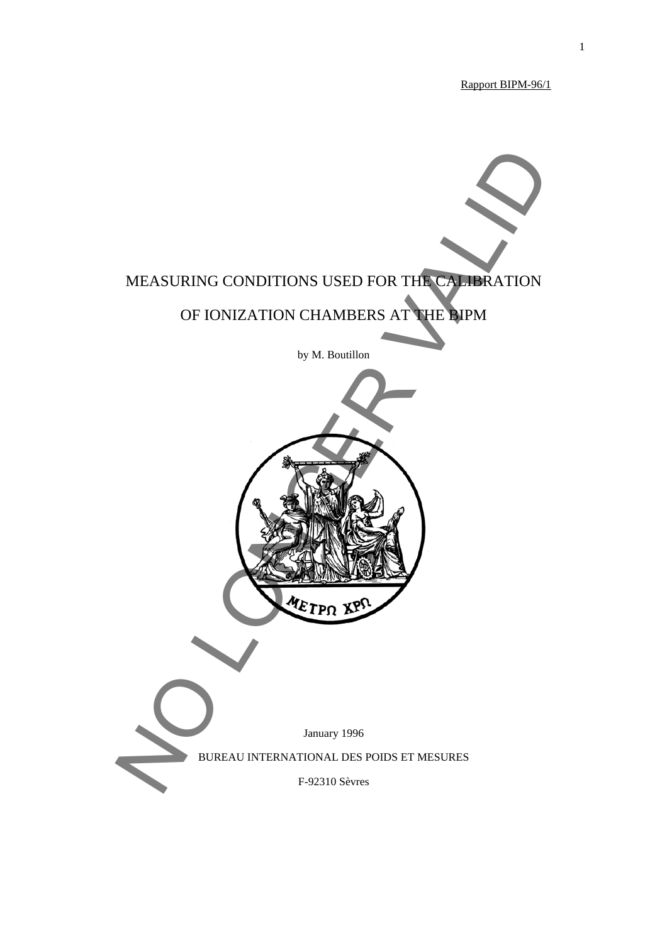Rapport BIPM-96/1

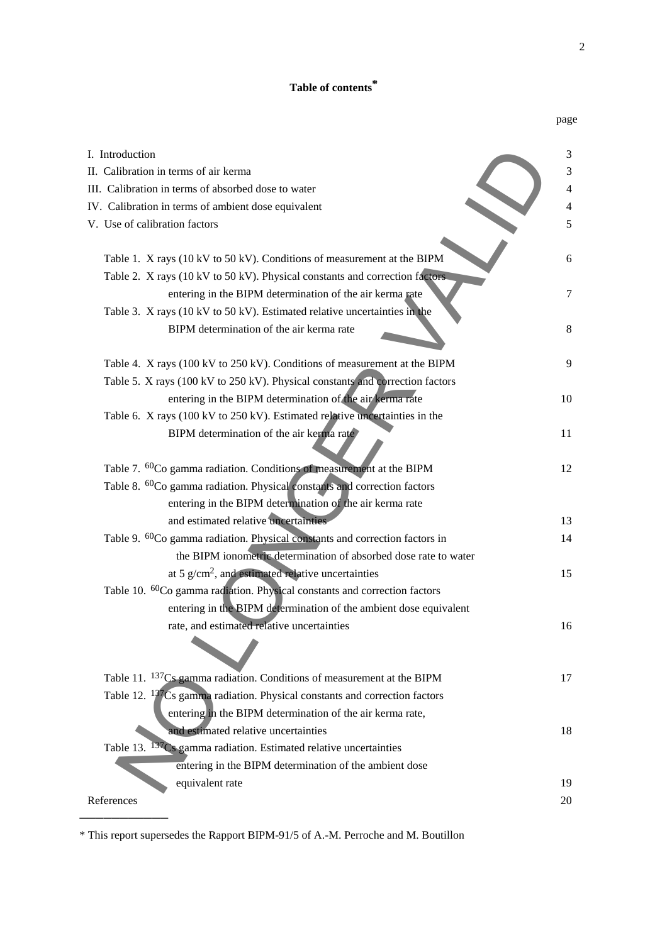# **Table of contents\***

|                                                                                         | page |
|-----------------------------------------------------------------------------------------|------|
| I. Introduction                                                                         | 3    |
| II. Calibration in terms of air kerma                                                   | 3    |
| III. Calibration in terms of absorbed dose to water                                     | 4    |
| IV. Calibration in terms of ambient dose equivalent                                     | 4    |
| V. Use of calibration factors                                                           | 5    |
|                                                                                         |      |
| Table 1. X rays (10 kV to 50 kV). Conditions of measurement at the BIPM                 | 6    |
| Table 2. X rays (10 kV to 50 kV). Physical constants and correction factors             |      |
| entering in the BIPM determination of the air kerma rate                                | 7    |
| Table 3. X rays (10 kV to 50 kV). Estimated relative uncertainties in the               |      |
| BIPM determination of the air kerma rate                                                | 8    |
| Table 4. X rays (100 kV to 250 kV). Conditions of measurement at the BIPM               | 9    |
| Table 5. X rays (100 kV to 250 kV). Physical constants and correction factors           |      |
| entering in the BIPM determination of the air kerma rate                                | 10   |
| Table 6. X rays (100 kV to 250 kV). Estimated relative uncertainties in the             |      |
| BIPM determination of the air kerma rate                                                | 11   |
|                                                                                         |      |
| Table 7. <sup>60</sup> Co gamma radiation. Conditions of measurement at the BIPM        | 12   |
| Table 8. <sup>60</sup> Co gamma radiation. Physical constants and correction factors    |      |
| entering in the BIPM determination of the air kerma rate                                |      |
| and estimated relative uncertainties                                                    | 13   |
| Table 9. <sup>60</sup> Co gamma radiation. Physical constants and correction factors in | 14   |
| the BIPM ionometric determination of absorbed dose rate to water                        |      |
| at 5 $g/cm2$ , and estimated relative uncertainties                                     | 15   |
| Table 10. <sup>60</sup> Co gamma radiation. Physical constants and correction factors   |      |
| entering in the BIPM determination of the ambient dose equivalent                       |      |
| rate, and estimated relative uncertainties                                              | 16   |
|                                                                                         |      |
| Table 11. <sup>137</sup> Cs gamma radiation. Conditions of measurement at the BIPM      | 17   |
| Table 12. $137Cs$ gamma radiation. Physical constants and correction factors            |      |
| entering in the BIPM determination of the air kerma rate,                               |      |
| and estimated relative uncertainties                                                    | 18   |
| Table 13. <sup>137</sup> Cs gamma radiation. Estimated relative uncertainties           |      |
| entering in the BIPM determination of the ambient dose                                  |      |
| equivalent rate                                                                         | 19   |
| References                                                                              | 20   |

<sup>\*</sup> This report supersedes the Rapport BIPM-91/5 of A.-M. Perroche and M. Boutillon

───────────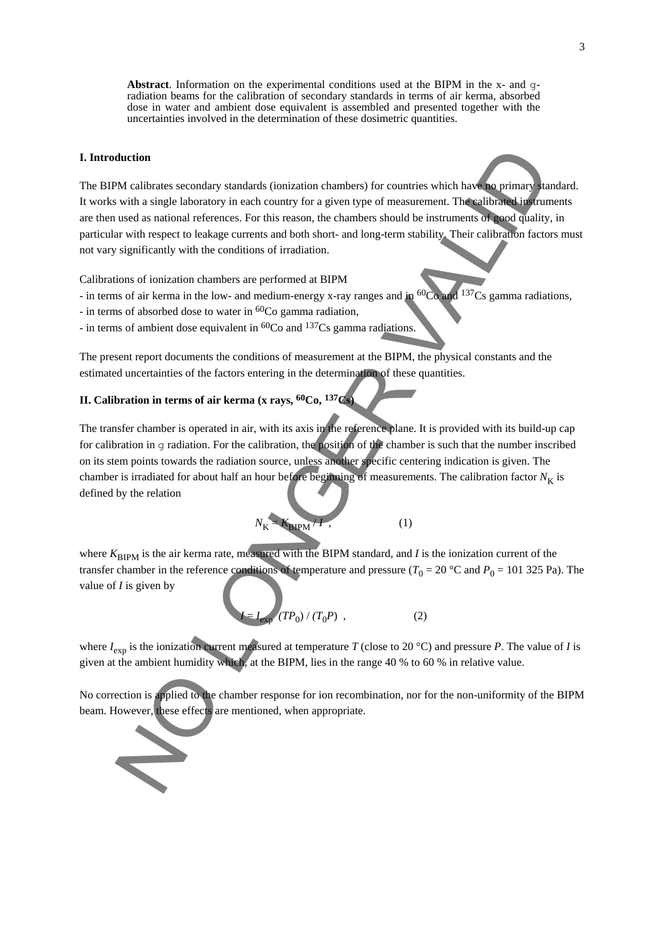**Abstract**. Information on the experimental conditions used at the BIPM in the x- and  $\sigma$ radiation beams for the calibration of secondary standards in terms of air kerma, absorbed dose in water and ambient dose equivalent is assembled and presented together with the uncertainties involved in the determination of these dosimetric quantities.

#### **I. Introduction**

The BIPM calibrates secondary standards (ionization chambers) for countries which have no primary standard. It works with a single laboratory in each country for a given type of measurement. The calibrated instruments are then used as national references. For this reason, the chambers should be instruments of good quality, in particular with respect to leakage currents and both short- and long-term stability. Their calibration factors must not vary significantly with the conditions of irradiation. duction<br>
We calibrates secondary standards (ionization changers) for countries which have an optimary and<br>
with a single laboratory in each country for a given type of reassurement. The almost project<br>
used as antiomal te

Calibrations of ionization chambers are performed at BIPM

- in terms of air kerma in the low- and medium-energy x-ray ranges and in <sup>60</sup>Co and <sup>137</sup>Cs gamma radiations,
- in terms of absorbed dose to water in  ${}^{60}Co$  gamma radiation,
- in terms of ambient dose equivalent in  ${}^{60}Co$  and  ${}^{137}Cs$  gamma radiations.

The present report documents the conditions of measurement at the BIPM, the physical constants and the estimated uncertainties of the factors entering in the determination of these quantities.

## **II. Calibration in terms of air kerma (x rays, 60Co, 137Cs)**

The transfer chamber is operated in air, with its axis in the reference plane. It is provided with its build-up cap for calibration in g radiation. For the calibration, the position of the chamber is such that the number inscribed on its stem points towards the radiation source, unless another specific centering indication is given. The chamber is irradiated for about half an hour before beginning of measurements. The calibration factor  $N_K$  is defined by the relation

$$
N_{\rm K} = K_{\rm BIPM} / I \tag{1}
$$

where  $K_{\text{BIPM}}$  is the air kerma rate, measured with the BIPM standard, and *I* is the ionization current of the transfer chamber in the reference conditions of temperature and pressure ( $T_0 = 20$  °C and  $P_0 = 101$  325 Pa). The value of *I* is given by

$$
I = I_{exp} (TP_0) / (T_0 P) ,
$$
 (2)

where  $I_{\text{exp}}$  is the ionization current measured at temperature *T* (close to 20 °C) and pressure *P*. The value of *I* is given at the ambient humidity which, at the BIPM, lies in the range 40 % to 60 % in relative value.

No correction is applied to the chamber response for ion recombination, nor for the non-uniformity of the BIPM beam. However, these effects are mentioned, when appropriate.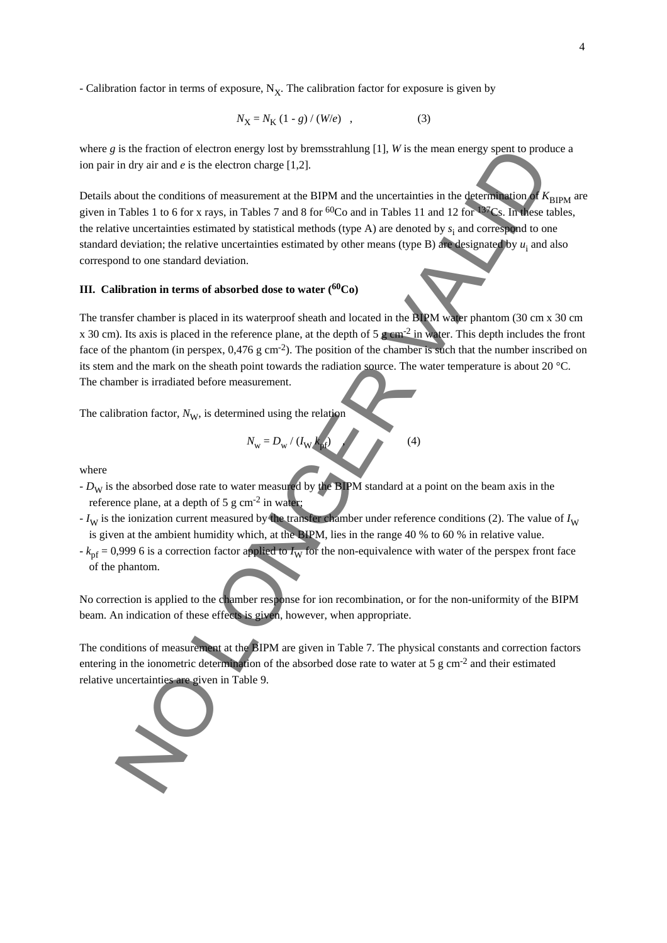*-* Calibration factor in terms of exposure, N<sub>X</sub>. The calibration factor for exposure is given by

$$
N_{\rm X} = N_{\rm K} (1 - g) / (W/e) \quad , \tag{3}
$$

where *g* is the fraction of electron energy lost by bremsstrahlung [1], *W* is the mean energy spent to produce a ion pair in dry air and *e* is the electron charge [1,2].

Details about the conditions of measurement at the BIPM and the uncertainties in the determination of  $K_{\text{RIPM}}$  are given in Tables 1 to 6 for x rays, in Tables 7 and 8 for  ${}^{60}Co$  and in Tables 11 and 12 for  ${}^{137}Cs$ . In these tables, the relative uncertainties estimated by statistical methods (type A) are denoted by  $s_i$  and correspond to one standard deviation; the relative uncertainties estimated by other means (type B) are designated by  $u_i$  and also correspond to one standard deviation. is the fraction of electron cheapy lost by beneatrablung [1], BV is the mean energy spont to product the origin of the conditions of measurement at the BIPM and the uncertainties in the determination about the conditions

### **III. Calibration in terms of absorbed dose to water (60Co)**

The transfer chamber is placed in its waterproof sheath and located in the BIPM water phantom (30 cm x 30 cm x 30 cm). Its axis is placed in the reference plane, at the depth of 5 g cm<sup>-2</sup> in water. This depth includes the front face of the phantom (in perspex,  $0.476$  g cm<sup>-2</sup>). The position of the chamber is such that the number inscribed on its stem and the mark on the sheath point towards the radiation source. The water temperature is about 20 °C. The chamber is irradiated before measurement.

The calibration factor,  $N_{\rm W}$ , is determined using the relation

$$
N_{\rm w} = D_{\rm w} / (I_{\rm W} k_{\rm p}) \tag{4}
$$

where

- *D<sub>W</sub>* is the absorbed dose rate to water measured by the BIPM standard at a point on the beam axis in the reference plane, at a depth of  $5 \text{ g cm}^{-2}$  in water;
- $-I<sub>W</sub>$  is the ionization current measured by the transfer chamber under reference conditions (2). The value of  $I<sub>W</sub>$ is given at the ambient humidity which, at the BIPM, lies in the range 40 % to 60 % in relative value.
- $-k_{\text{pf}} = 0.999$  6 is a correction factor applied to  $I_{\text{W}}$  for the non-equivalence with water of the perspex front face of the phantom.

No correction is applied to the chamber response for ion recombination, or for the non-uniformity of the BIPM beam. An indication of these effects is given, however, when appropriate.

The conditions of measurement at the BIPM are given in Table 7. The physical constants and correction factors entering in the ionometric determination of the absorbed dose rate to water at 5 g cm-2 and their estimated relative uncertainties are given in Table 9.

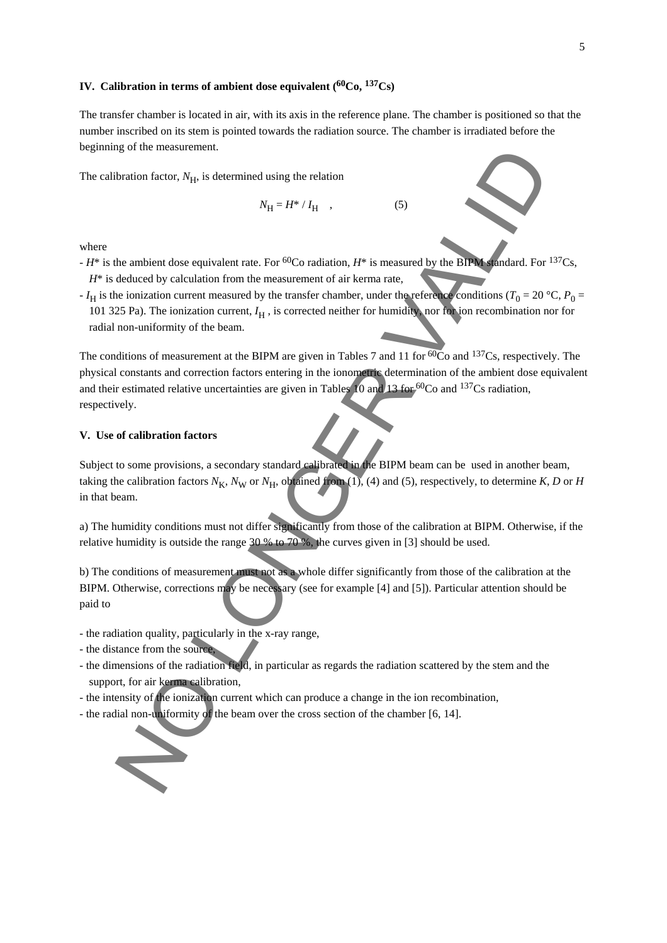### **IV. Calibration in terms of ambient dose equivalent (60Co, 137Cs)**

The transfer chamber is located in air, with its axis in the reference plane. The chamber is positioned so that the number inscribed on its stem is pointed towards the radiation source. The chamber is irradiated before the beginning of the measurement.

The calibration factor,  $N_{\text{H}}$ , is determined using the relation

$$
N_{\rm H} = H^* / I_{\rm H} \quad , \tag{5}
$$

where

- *H*\* is the ambient dose equivalent rate. For <sup>60</sup>Co radiation, *H*<sup>\*</sup> is measured by the BIPM standard. For <sup>137</sup>Cs,  $H^*$  is deduced by calculation from the measurement of air kerma rate,
- *I*<sub>H</sub> is the ionization current measured by the transfer chamber, under the reference conditions ( $T_0 = 20 \degree$ C,  $P_0 =$ 101 325 Pa). The ionization current,  $I_H$ , is corrected neither for humidity, nor for ion recombination nor for radial non-uniformity of the beam.

The conditions of measurement at the BIPM are given in Tables 7 and 11 for  $\overline{60}$ Co and  $137$ Cs, respectively. The physical constants and correction factors entering in the ionometric determination of the ambient dose equivalent and their estimated relative uncertainties are given in Tables 10 and 13 for 60Co and 137Cs radiation, respectively. bration factor. N<sub>H</sub>, is determined using the relation<br>
Nation factor. N<sub>H</sub>, is determined using the relation<br>
Nation factor. N<sub>H</sub>, is determined using the relation  $H^*$  is measured by the BPM doubant. For<br>
deduced by en

#### **V. Use of calibration factors**

Subject to some provisions, a secondary standard calibrated in the BIPM beam can be used in another beam, taking the calibration factors  $N_K$ ,  $N_W$  or  $N_H$ , obtained from (1), (4) and (5), respectively, to determine *K*, *D* or *H* in that beam.

a) The humidity conditions must not differ significantly from those of the calibration at BIPM. Otherwise, if the relative humidity is outside the range 30 % to 70 %, the curves given in [3] should be used.

b) The conditions of measurement must not as a whole differ significantly from those of the calibration at the BIPM. Otherwise, corrections may be necessary (see for example [4] and [5]). Particular attention should be paid to

- the radiation quality, particularly in the x-ray range,
- the distance from the source,
- the dimensions of the radiation field, in particular as regards the radiation scattered by the stem and the support, for air kerma calibration,
- the intensity of the ionization current which can produce a change in the ion recombination,
- the radial non-uniformity of the beam over the cross section of the chamber [6, 14].

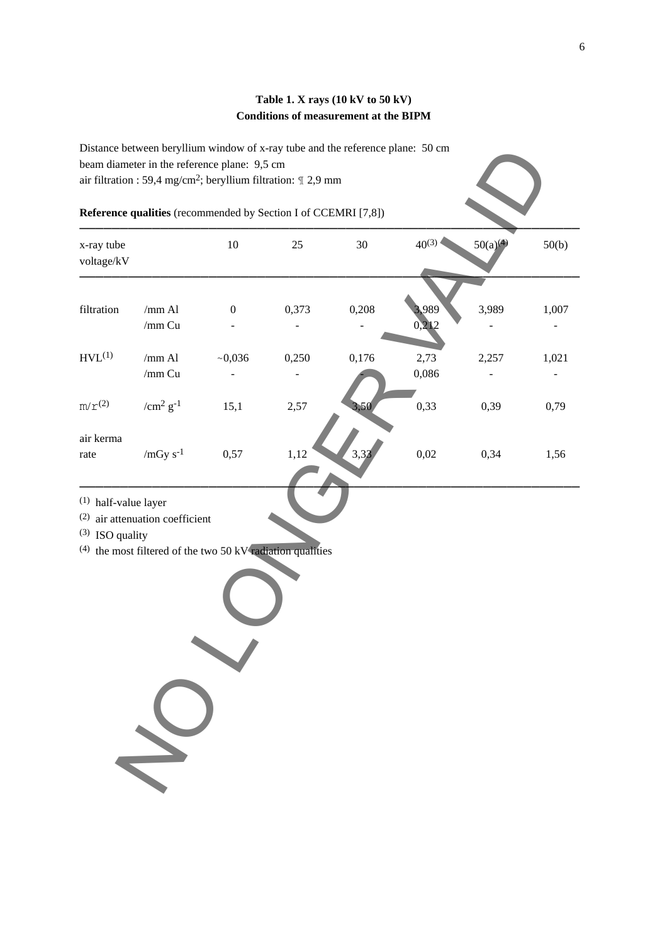### **Table 1. X rays (10 kV to 50 kV) Conditions of measurement at the BIPM**

Distance between beryllium window of x-ray tube and the reference plane: 50 cm beam diameter in the reference plane: 9,5 cm air filtration : 59,4 mg/cm2; beryllium filtration: ¶ 2,9 mm

## **Reference qualities** (recommended by Section I of CCEMRI [7,8])

|                                             | Reference qualities (recommended by Section I of CCEMRI [7,8])                                          |                  |       |       |                |          |       |
|---------------------------------------------|---------------------------------------------------------------------------------------------------------|------------------|-------|-------|----------------|----------|-------|
| x-ray tube<br>voltage/kV                    |                                                                                                         | $10\,$           | 25    | 30    | $40^{(3)}$     | 50(a)(4) | 50(b) |
| filtration                                  | / $mm$ Al<br>/ $mm$ Cu                                                                                  | $\boldsymbol{0}$ | 0,373 | 0,208 | 3,989<br>0,212 | 3,989    | 1,007 |
| HVL <sup>(1)</sup>                          | / $mm$ Al<br>/ $mm$ Cu                                                                                  | ~10,036          | 0,250 | 0,176 | 2,73<br>0,086  | 2,257    | 1,021 |
| $m/r^{(2)}$                                 | / $\mathrm{cm}^2\,\mathrm{g}^{-1}$                                                                      | 15,1             | 2,57  | 3,50  | 0,33           | 0,39     | 0,79  |
| air kerma<br>rate                           | / $mGy s^{-1}$                                                                                          | 0,57             | 1,12  | 3,32  | 0,02           | 0,34     | 1,56  |
| $(1)$ half-value layer<br>$(3)$ ISO quality | $(2)$ air attenuation coefficient<br>$(4)$ the most filtered of the two 50 kV $\tau$ adiation qualities |                  |       |       |                |          |       |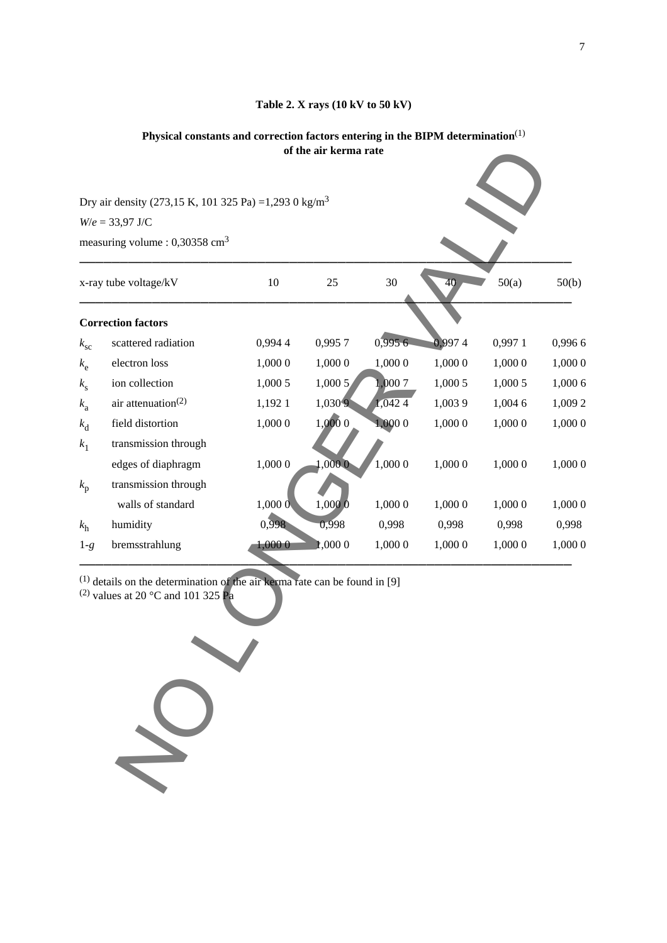### **Table 2. X rays (10 kV to 50 kV)**

### **Physical constants and correction factors entering in the BIPM determination**(1) **of the air kerma rate**

|              |                                                                                                                                            |         | of the air kerma rate |         |         |         |         |
|--------------|--------------------------------------------------------------------------------------------------------------------------------------------|---------|-----------------------|---------|---------|---------|---------|
|              |                                                                                                                                            |         |                       |         |         |         |         |
|              | Dry air density (273,15 K, 101 325 Pa) = 1,293 0 kg/m <sup>3</sup>                                                                         |         |                       |         |         |         |         |
|              | $W/e = 33,97$ J/C                                                                                                                          |         |                       |         |         |         |         |
|              | measuring volume : $0,30358$ cm <sup>3</sup>                                                                                               |         |                       |         |         |         |         |
|              | x-ray tube voltage/kV                                                                                                                      | 10      | 25                    | 30      | 40      | 50(a)   | 50(b)   |
|              | <b>Correction factors</b>                                                                                                                  |         |                       |         |         |         |         |
| $k_{\rm sc}$ | scattered radiation                                                                                                                        | 0,9944  | 0,9957                | 0,9956  | 0,9974  | 0,997 1 | 0,9966  |
| $k_{\rm e}$  | electron loss                                                                                                                              | 1,000 0 | 1,000 0               | 1,000 0 | 1,000 0 | 1,000 0 | 1,000 0 |
| $k_{\rm s}$  | ion collection                                                                                                                             | 1,000 5 | 1,0005                | 1,0007  | 1,000 5 | 1,000 5 | 1,000 6 |
| $k_{\rm a}$  | air attenuation <sup><math>(2)</math></sup>                                                                                                | 1,1921  | 1,0309                | 1,0424  | 1,0039  | 1,004 6 | 1,009 2 |
| $k_{\rm d}$  | field distortion                                                                                                                           | 1,000 0 | 1,0000                | 1,000 0 | 1,000 0 | 1,000 0 | 1,000 0 |
| $k_1$        | transmission through                                                                                                                       |         |                       |         |         |         |         |
|              | edges of diaphragm                                                                                                                         | 1,000 0 | 1,0000                | 1,000 0 | 1,000 0 | 1,000 0 | 1,000 0 |
| $k_{\rm p}$  | transmission through                                                                                                                       |         |                       |         |         |         |         |
|              | walls of standard                                                                                                                          | 1,0000  | 1,000 0               | 1,000 0 | 1,000 0 | 1,000 0 | 1,000 0 |
| $k_{\rm h}$  | humidity                                                                                                                                   | 0,998   | 0,998                 | 0,998   | 0,998   | 0,998   | 0,998   |
| $1-g$        | bremsstrahlung                                                                                                                             | 1,000 0 | <b>r</b> ,000 0       | 1,000 0 | 1,000 0 | 1,000 0 | 1,000 0 |
|              | $(1)$ details on the determination of the air kerma rate can be found in [9]<br><sup>(2)</sup> values at 20 °C and 101 325 $\overline{Pa}$ |         |                       |         |         |         |         |
|              |                                                                                                                                            |         |                       |         |         |         |         |

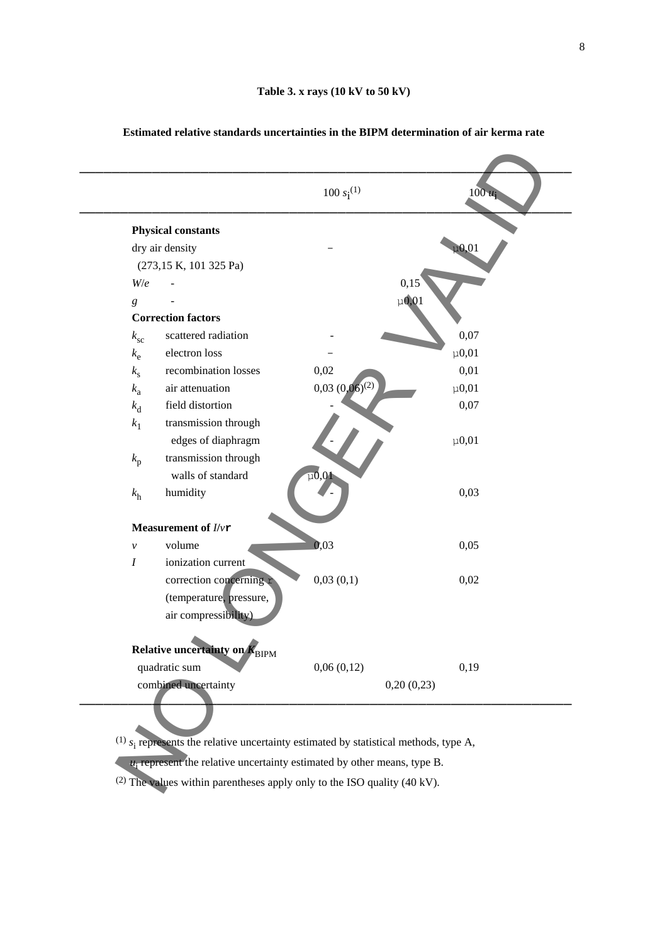|                            | <b>Physical constants</b>     |                                    |                   |
|----------------------------|-------------------------------|------------------------------------|-------------------|
|                            | dry air density               |                                    | $\mu$ 0,01        |
|                            | (273,15 K, 101 325 Pa)        |                                    |                   |
| W/e                        |                               |                                    | 0,15              |
| $\boldsymbol{g}$           |                               |                                    | $\mu$ <b>0,01</b> |
|                            | <b>Correction factors</b>     |                                    |                   |
| $k_{\rm sc}$               | scattered radiation           |                                    | 0,07              |
| $k_{\rm e}$                | electron loss                 |                                    | $\mu$ 0,01        |
| $k_{\rm s}$                | recombination losses          | 0,02                               | 0,01              |
| $k_{\rm a}$                | air attenuation               | $0,03$ $(0,06)^{(2)}$              | $\mu$ 0,01        |
| $k_{\rm d}$                | field distortion              |                                    | 0,07              |
| $k_1$                      | transmission through          |                                    |                   |
|                            | edges of diaphragm            |                                    | $\mu$ 0,01        |
| $k_{\rm p}$                | transmission through          |                                    |                   |
|                            | walls of standard             | $\mu$ <sub>0</sub> ,0 <sup>1</sup> |                   |
| k <sub>h</sub>             | humidity                      |                                    | 0,03              |
|                            | Measurement of I/vr           |                                    |                   |
| $\boldsymbol{\mathcal{V}}$ | volume                        | 0,03                               | 0,05              |
| $\boldsymbol{I}$           | ionization current            |                                    |                   |
|                            | correction concerning r       | 0,03(0,1)                          | 0,02              |
|                            | (temperature, pressure,       |                                    |                   |
|                            | air compressibility)          |                                    |                   |
|                            | Relative uncertainty on KBIPM |                                    |                   |
|                            | quadratic sum                 | 0,06(0,12)                         | 0,19              |
|                            | combined uncertainty          |                                    | 0,20(0,23)        |
|                            |                               |                                    |                   |

#### **Estimated relative standards uncertainties in the BIPM determination of air kerma rate**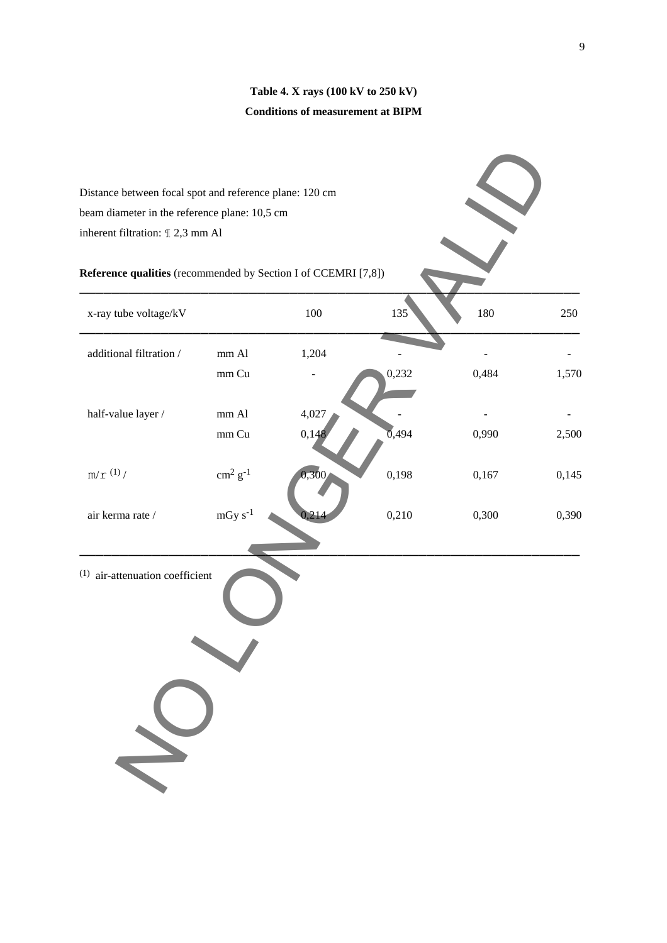## **Table 4. X rays (100 kV to 250 kV) Conditions of measurement at BIPM**

| Distance between focal spot and reference plane: 120 cm        |                          |       |       |       |       |
|----------------------------------------------------------------|--------------------------|-------|-------|-------|-------|
| beam diameter in the reference plane: 10,5 cm                  |                          |       |       |       |       |
| inherent filtration: 1 2,3 mm Al                               |                          |       |       |       |       |
|                                                                |                          |       |       |       |       |
| Reference qualities (recommended by Section I of CCEMRI [7,8]) |                          |       |       |       |       |
| x-ray tube voltage/kV                                          |                          | 100   | 135   | 180   | 250   |
| additional filtration /                                        | mm Al                    | 1,204 |       |       |       |
|                                                                | mm Cu                    |       | 0,232 | 0,484 | 1,570 |
| half-value layer /                                             | mm Al                    | 4,027 |       |       |       |
|                                                                | mm Cu                    | 0,148 | 0,494 | 0,990 | 2,500 |
| $m/\mathop{\rm r}\nolimits$ $^{(1)}/$                          | $\rm cm^2~g^{\text{-}1}$ | 0,300 | 0,198 | 0,167 | 0,145 |
| air kerma rate /                                               | $mGy s-1$                |       | 0,210 | 0,300 | 0,390 |
| $(1)$ air-attenuation coefficient                              |                          |       |       |       |       |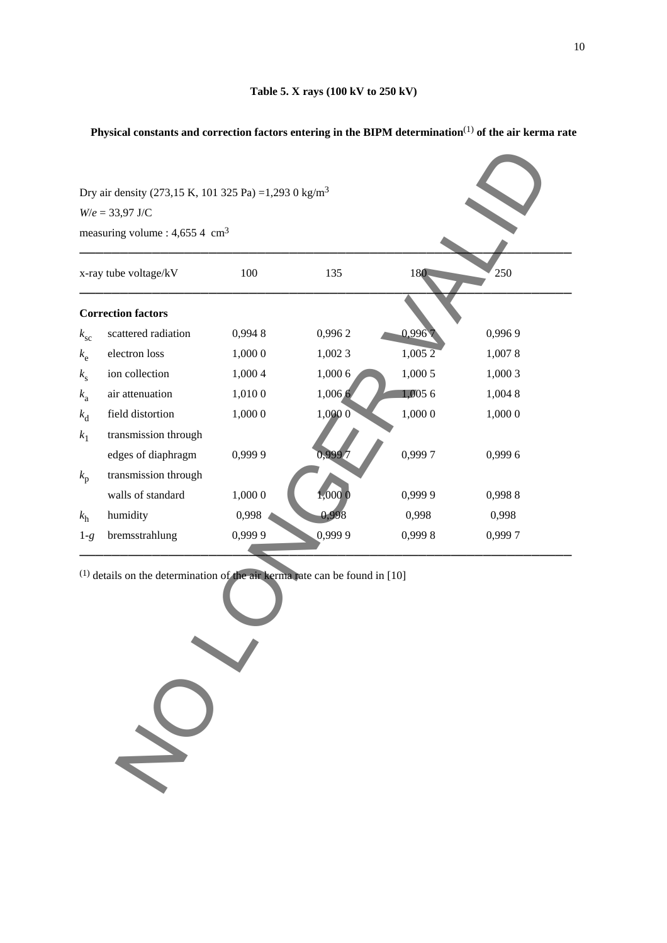## **Physical constants and correction factors entering in the BIPM determination**(1) **of the air kerma rate**

| x-ray tube voltage/kV<br><b>Correction factors</b><br>scattered radiation<br>electron loss | 100<br>0,9948 | 135     | 180                 | 250     |
|--------------------------------------------------------------------------------------------|---------------|---------|---------------------|---------|
|                                                                                            |               |         |                     |         |
|                                                                                            |               |         |                     |         |
|                                                                                            |               | 0,9962  | 0,996               | 0,9969  |
|                                                                                            | 1,000 0       | 1,002 3 | $1,005\overline{2}$ | 1,0078  |
| ion collection                                                                             | 1,000 4       | 1,000 6 | 1,000 5             | 1,000 3 |
| air attenuation                                                                            | 1,010 0       | 1,006.6 | 1,0056              | 1,004 8 |
| field distortion                                                                           | 1,000 0       | 1,0000  | 1,000 0             | 1,000 0 |
| transmission through                                                                       |               |         |                     |         |
| edges of diaphragm                                                                         | 0,9999        | 0,999.7 | 0,9997              | 0,9996  |
| transmission through                                                                       |               |         |                     |         |
| walls of standard                                                                          | 1,000 0       | 1,000 0 | 0,999 9             | 0,9988  |
| humidity                                                                                   | 0,998         | 0,998   | 0,998               | 0,998   |
| bremsstrahlung                                                                             | 0,9999        | 0,999 9 | 0,9998              | 0,9997  |
|                                                                                            |               |         |                     |         |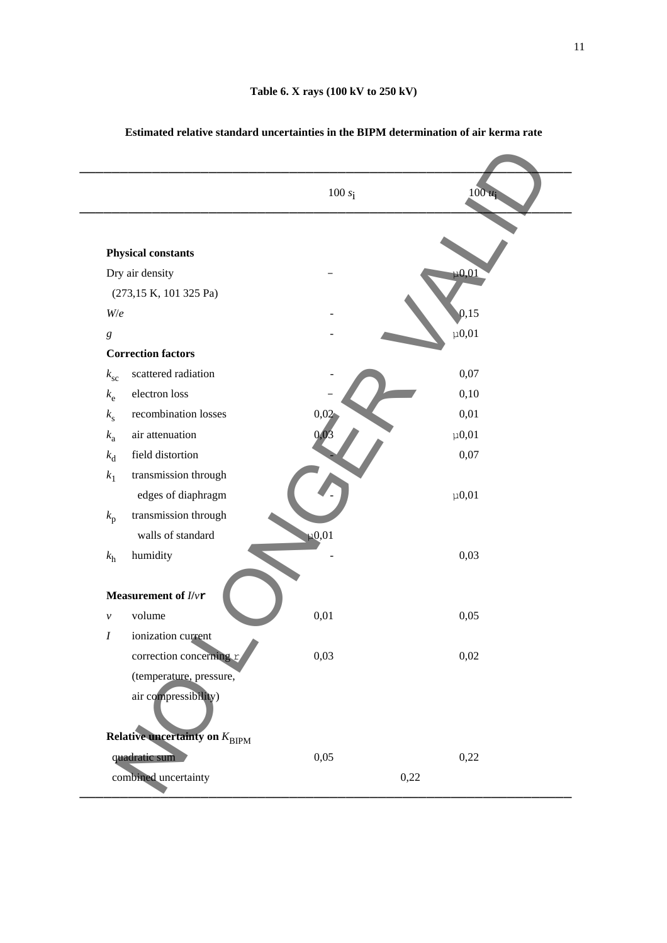|                                           | 100 $s_i$  | $100 u_i$  |
|-------------------------------------------|------------|------------|
|                                           |            |            |
| <b>Physical constants</b>                 |            |            |
| Dry air density                           |            | $\mu$ 0,01 |
| (273,15 K, 101 325 Pa)                    |            |            |
| W/e                                       |            | 0,15       |
| $\boldsymbol{g}$                          |            | $\mu$ 0,01 |
| <b>Correction factors</b>                 |            |            |
| scattered radiation<br>$k_{\rm sc}$       |            | 0,07       |
| electron loss<br>$k_{\rm e}$              |            | 0,10       |
| recombination losses<br>$k_{\rm s}$       | 0,02       | 0,01       |
| air attenuation<br>$k_{\rm a}$            | 0,03       | $\mu$ 0,01 |
| field distortion<br>$k_{\rm d}$           |            | 0,07       |
| transmission through<br>$k_1$             |            |            |
| edges of diaphragm                        |            | $\mu$ 0,01 |
| transmission through<br>$k_{\rm p}$       |            |            |
| walls of standard                         | $\mu$ 0,01 |            |
| humidity<br>$k_{\rm h}$                   |            | 0,03       |
| Measurement of $I/\nu$ r                  |            |            |
| volume<br>$\mathcal V$                    | 0,01       | 0,05       |
| $\boldsymbol{I}$<br>ionization current    |            |            |
| correction concerning r                   | 0,03       | 0,02       |
| (temperature, pressure,                   |            |            |
| air compressibility)                      |            |            |
| Relative uncertainty on $K_{\text{BIPM}}$ |            |            |
| quadratic sum                             | 0,05       | 0,22       |
| combined uncertainty                      |            | 0,22       |

### **Estimated relative standard uncertainties in the BIPM determination of air kerma rate**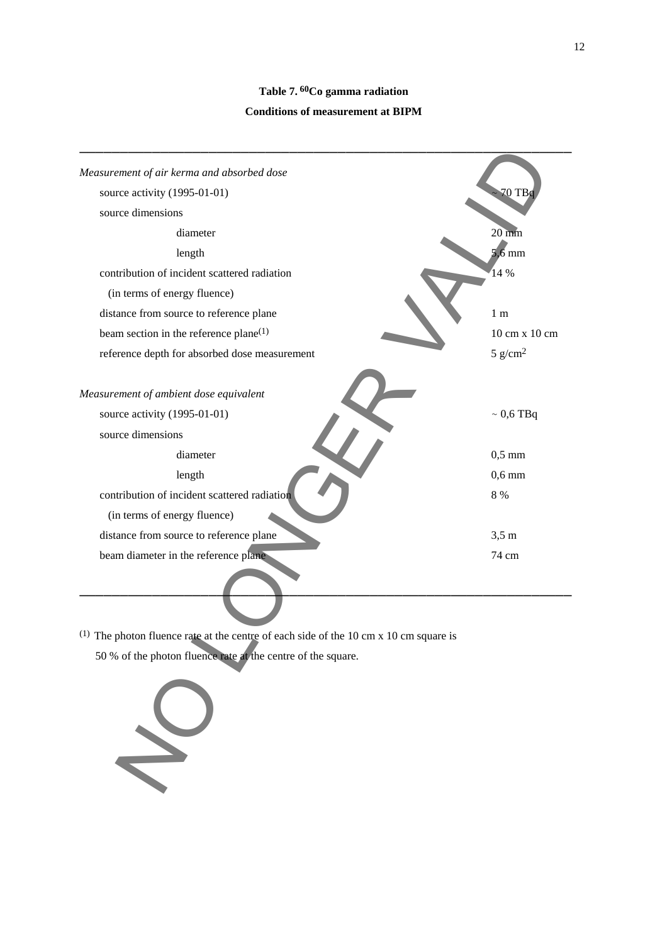# **Table 7. 60Co gamma radiation Conditions of measurement at BIPM**

| Measurement of air kerma and absorbed dose                                              |                     |
|-----------------------------------------------------------------------------------------|---------------------|
| source activity (1995-01-01)                                                            | 70 TB               |
| source dimensions                                                                       |                     |
| diameter                                                                                | $20 \text{ mm}$     |
| length                                                                                  | $5,6$ mm            |
| contribution of incident scattered radiation                                            | 14 %                |
| (in terms of energy fluence)                                                            |                     |
| distance from source to reference plane                                                 | 1 <sub>m</sub>      |
| beam section in the reference plane $(1)$                                               | 10 cm x 10 cm       |
| reference depth for absorbed dose measurement                                           | 5 g/cm <sup>2</sup> |
|                                                                                         |                     |
| Measurement of ambient dose equivalent                                                  |                     |
| source activity (1995-01-01)                                                            | $\sim 0.6$ TBq      |
| source dimensions                                                                       |                     |
| diameter                                                                                | $0,5$ mm            |
| length                                                                                  | $0,6$ mm            |
| contribution of incident scattered radiation                                            | 8 %                 |
| (in terms of energy fluence)                                                            |                     |
| distance from source to reference plane                                                 | $3,5 \text{ m}$     |
| beam diameter in the reference plane                                                    | 74 cm               |
|                                                                                         |                     |
|                                                                                         |                     |
| $(1)$ The photon fluence rate at the centre of each side of the 10 cm x 10 cm square is |                     |
| 50 % of the photon fluence rate at the centre of the square.                            |                     |
|                                                                                         |                     |
|                                                                                         |                     |

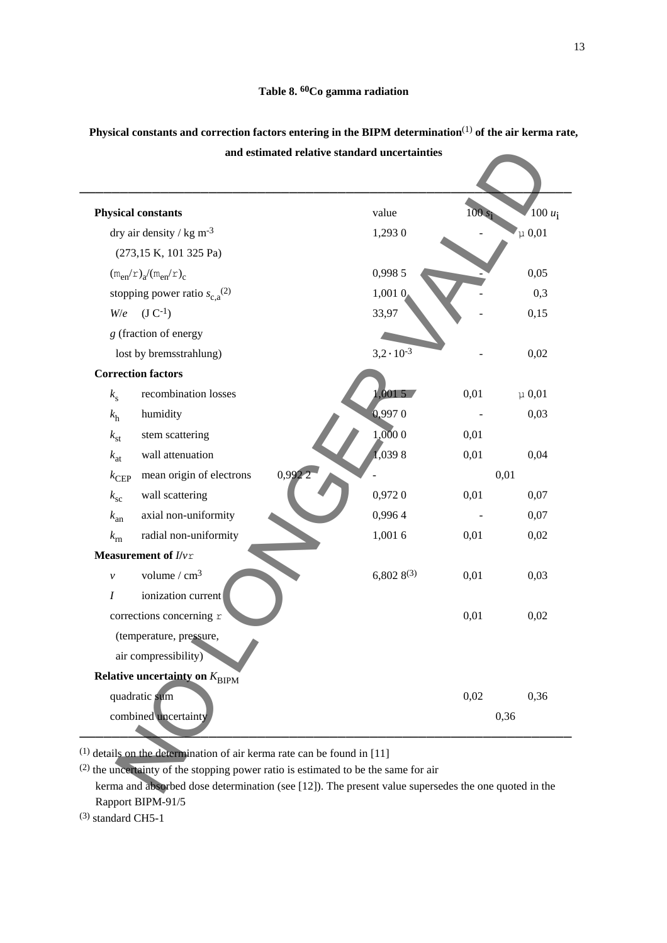| <b>Physical constants</b>                                   | value               |      | $100 u_i$  |
|-------------------------------------------------------------|---------------------|------|------------|
| dry air density / kg m <sup>-3</sup>                        | 1,293 0             |      | $\mu$ 0,01 |
| (273,15 K, 101 325 Pa)                                      |                     |      |            |
| $(m_{en}/r)_{a}/(m_{en}/r)_{c}$                             | 0,998 5             |      | 0,05       |
| stopping power ratio $s_{c,a}^{(2)}$                        | 1,001 0             |      | 0,3        |
| $(J C^{-1})$<br>W/e                                         | 33,97               |      | 0,15       |
| g (fraction of energy                                       |                     |      |            |
| lost by bremsstrahlung)                                     | $3,2 \cdot 10^{-3}$ |      | 0,02       |
| <b>Correction factors</b>                                   |                     |      |            |
| recombination losses<br>$k_{\rm s}$                         | 0015                | 0,01 | $\mu$ 0,01 |
| humidity<br>$k_{\rm h}$                                     | 0,9970              |      | 0,03       |
| stem scattering<br>$k_{\rm st}$                             | 1,0000              | 0,01 |            |
| wall attenuation<br>$k_{\text{at}}$                         | 1,0398              | 0,01 | 0,04       |
| mean origin of electrons<br>$k_{\text{CEP}}$                | 0,992               |      | 0,01       |
| wall scattering<br>$k_{\rm sc}$                             | 0,9720              | 0,01 | 0,07       |
| axial non-uniformity<br>$k_{\rm an}$                        | 0,9964              |      | 0,07       |
| radial non-uniformity<br>$k_{\rm rn}$                       | 1,001 6             | 0,01 | 0,02       |
| Measurement of $I/\nu r$                                    |                     |      |            |
| volume $/cm3$<br>$\mathcal{V}$                              | $6,8028^{(3)}$      | 0,01 | 0,03       |
| ionization current<br>I                                     |                     |      |            |
| corrections concerning r                                    |                     | 0,01 | 0,02       |
| (temperature, pressure,                                     |                     |      |            |
| air compressibility)                                        |                     |      |            |
| <b>Relative uncertainty on <math>K_{\text{BIPM}}</math></b> |                     |      |            |
| quadratic sum                                               |                     | 0,02 | 0,36       |
| combined uncertainty                                        |                     |      | 0,36       |

**Physical constants and correction factors entering in the BIPM determination**(1) **of the air kerma rate, and estimated relative standard uncertainties** 

Rapport BIPM-91/5

(3) standard CH5-1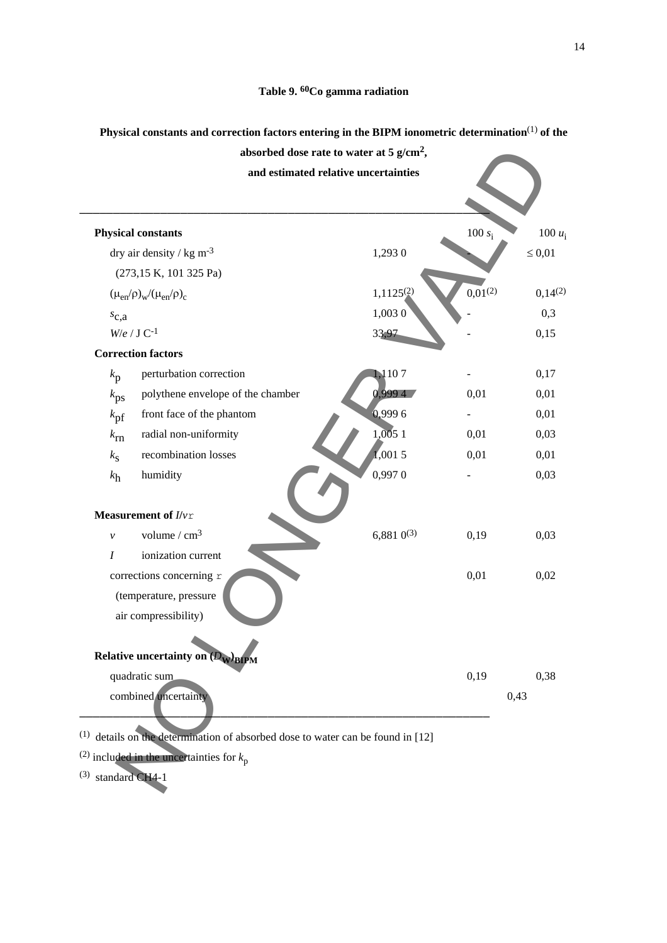### **Physical constants and correction factors entering in the BIPM ionometric determination**(1) **of the**



(1) details on the determination of absorbed dose to water can be found in [12]

(2) included in the uncertainties for  $k_p$ 

(3) standard CH4-1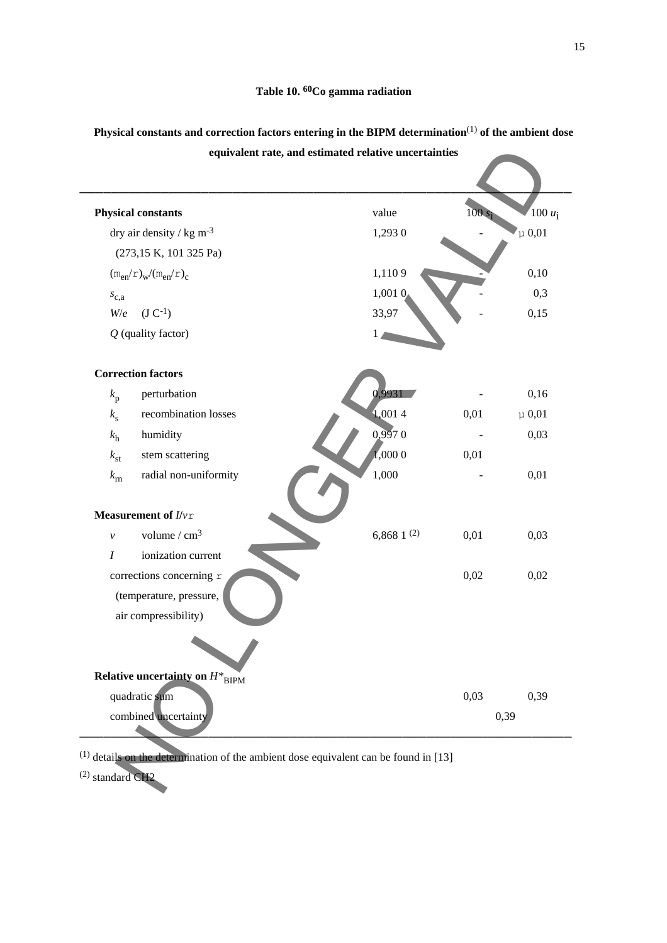|                                             | equivalent rate, and estimated relative uncertainties |         |            |
|---------------------------------------------|-------------------------------------------------------|---------|------------|
|                                             |                                                       |         |            |
| <b>Physical constants</b>                   | value                                                 | $100$ : | $100 u_i$  |
| dry air density / $kg \, \text{m}^{-3}$     | 1,293 0                                               |         | $\mu$ 0,01 |
| (273,15 K, 101 325 Pa)                      |                                                       |         |            |
| $(m_{en}/r)_{w}/(m_{en}/r)_{c}$             | 1,1109                                                |         | 0,10       |
| $s_{c,a}$                                   | 1,001 0                                               |         | 0,3        |
| $(J C^{-1})$<br>W/e                         | 33,97                                                 |         | 0,15       |
| $Q$ (quality factor)                        |                                                       |         |            |
| <b>Correction factors</b>                   |                                                       |         |            |
| perturbation<br>$k_{\rm p}$                 | 0.9931                                                |         | 0,16       |
| recombination losses<br>$k_{\rm s}$         | 1,0014                                                | 0,01    | $\mu$ 0,01 |
| humidity<br>$k_{\rm h}$                     | 0,9970                                                |         | 0,03       |
| stem scattering<br>$k_{\rm st}$             | 1,0000                                                | 0,01    |            |
| radial non-uniformity<br>$k_{\rm rn}$       | 1,000                                                 |         | 0,01       |
| Measurement of $I/\nu r$                    |                                                       |         |            |
| volume $/cm3$<br>$\mathcal{V}$              | 6,868 $1^{(2)}$                                       | 0,01    | 0,03       |
| ionization current<br>$\boldsymbol{I}$      |                                                       |         |            |
| corrections concerning r                    |                                                       | 0,02    | 0,02       |
| (temperature, pressure,                     |                                                       |         |            |
| air compressibility)                        |                                                       |         |            |
|                                             |                                                       |         |            |
| Relative uncertainty on $H^*_{\text{BIPM}}$ |                                                       |         |            |
| quadratic sum                               |                                                       | 0,03    | 0,39       |
| combined uncertainty                        |                                                       |         | 0,39       |

**Physical constants and correction factors entering in the BIPM determination**(1) **of the ambient dose equivalent rate, and estimated relative uncertainties**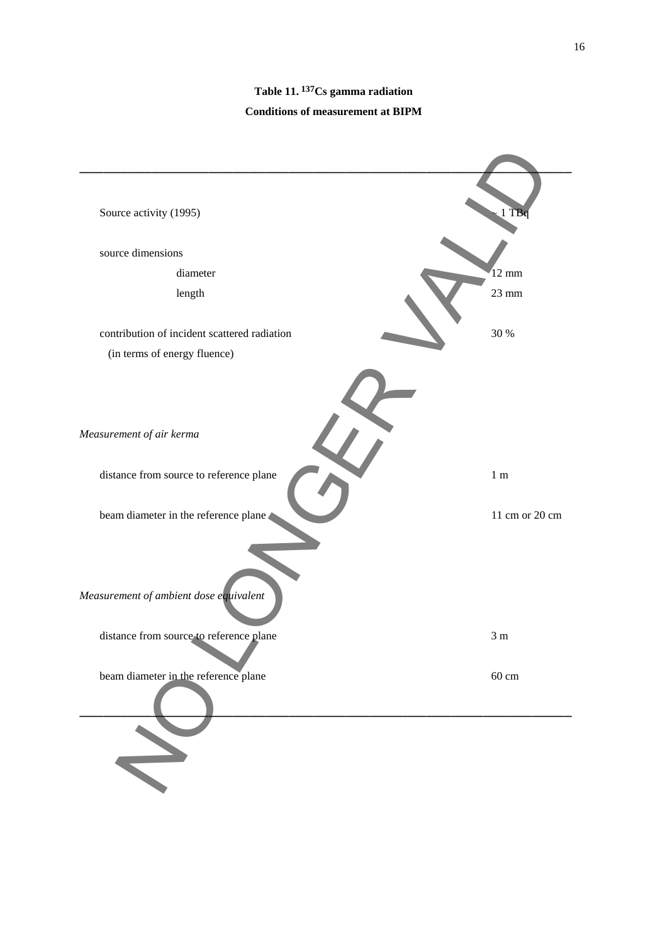# **Table 11. 137Cs gamma radiation Conditions of measurement at BIPM**

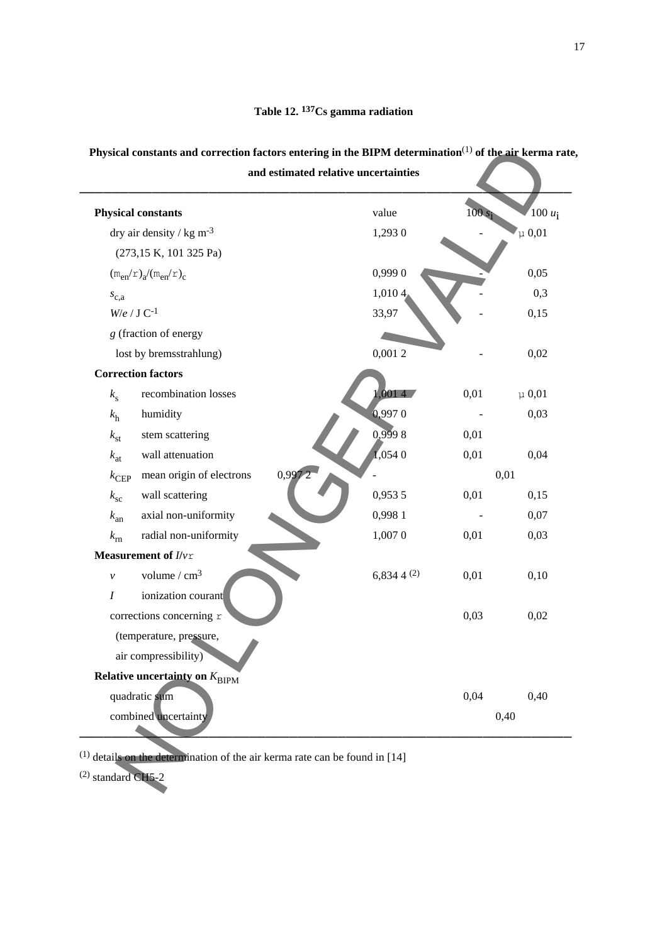### **Table 12. 137Cs gamma radiation**

## **Physical constants and correction factors entering in the BIPM determination**(1) **of the air kerma rate, and estimated relative uncertainties**

───────────────────────────────────────────────────────────── **Physical constants** value 100 *u*<sub>i</sub>  $\frac{100 u_i}{\mu 0.01}$ dry air density / kg m<sup>-3</sup> 1,293 0 (273,15 K, 101 325 Pa)  $(m_{en}/r)_{a}/(m_{en}/r)_{c}$  0,999 0 0 0,05  $s_{c,a}$  1,010 4 - 0,3  $W/e / J C^{-1}$  33,97 33,97 0,15 *g* (fraction of energy  $\log b$  by bremsstrahlung) 0,001 2 - 0,02  **Correction factors**  $k_s$  recombination losses 1,001 4 0,01  $\mu$  0,01  $k_h$  humidity 0,997 0 - 0,03  $k_{\text{st}}$  stem scattering 0,999 8 0,01 *k*<sub>at</sub> wall attenuation  $1,0540$  0,01 0,04  $k_{\text{CEP}}$  mean origin of electrons 0,997 2  $\sim$  0,01 *k*<sub>sc</sub> wall scattering  $0.9535$   $0.01$   $0.15$ *k*<sub>an</sub> axial non-uniformity 0,998 1 - 0,07 *k*<sub>rn</sub> radial non-uniformity 1,007 0 0,01 0,03  **Measurement of** *I***/***v*r *v* volume / cm<sup>3</sup> 6,834 4 <sup>(2)</sup> 0,01 0,10 *I* ionization courant  $\frac{1}{2}$  corrections concerning r 0,03 0,02 (temperature, pressure, air compressibility)  **Relative uncertainty on** *K*<sub>BIPM</sub> quadratic sum 0,04 0,40 combined uncertainty 0,40 eal constants and correction factors entering in the BIPM determination<sup>13</sup> of the air technique of external constants<br>
and estimated relative uncertainties<br>  $x_1$  and constants<br>  $x_2$  and constants<br>  $x_3$  and  $x_2$  and

─────────────────────────────────────────────────────────────

 $(1)$  details on the determination of the air kerma rate can be found in [14]

(2) standard CH5-2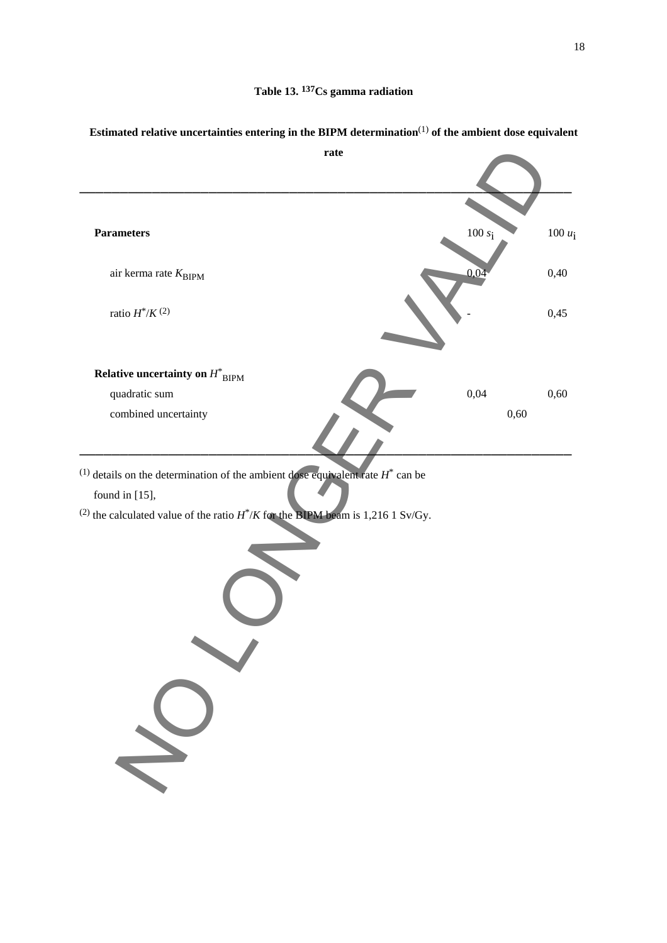

## **Estimated relative uncertainties entering in the BIPM determination**(1) **of the ambient dose equivalent**